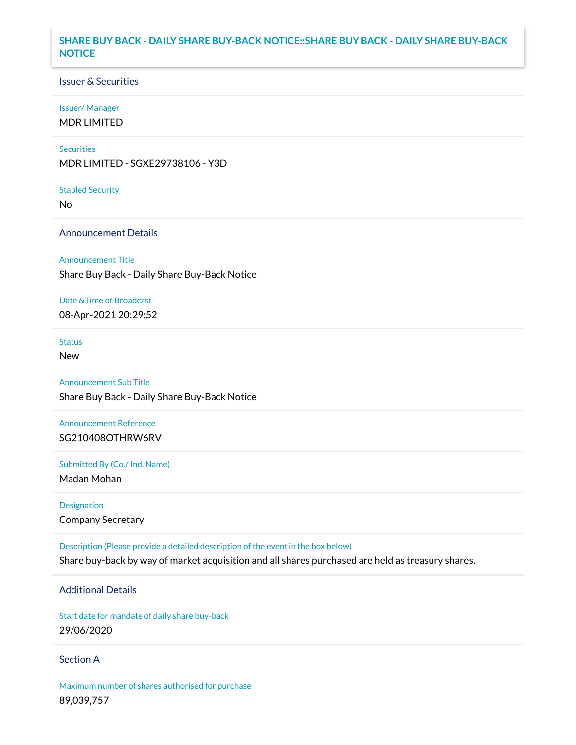## **SHARE BUY BACK - DAILY SHARE BUY-BACK NOTICE::SHARE BUY BACK - DAILY SHARE BUY-BACK NOTICE**

### Issuer & Securities

#### Issuer/ Manager

MDR LIMITED

#### **Securities**

MDR LIMITED - SGXE29738106 - Y3D

#### Stapled Security

No

### Announcement Details

#### Announcement Title

Share Buy Back - Daily Share Buy-Back Notice

### Date &Time of Broadcast

08-Apr-2021 20:29:52

## **Status**

New

## Announcement Sub Title

Share Buy Back - Daily Share Buy-Back Notice

### Announcement Reference SG210408OTHRW6RV

Submitted By (Co./ Ind. Name)

Madan Mohan

Designation Company Secretary

Description (Please provide a detailed description of the event in the box below) Share buy-back by way of market acquisition and all shares purchased are held as treasury shares.

# Additional Details

Start date for mandate of daily share buy-back 29/06/2020

### Section A

Maximum number of shares authorised for purchase 89,039,757